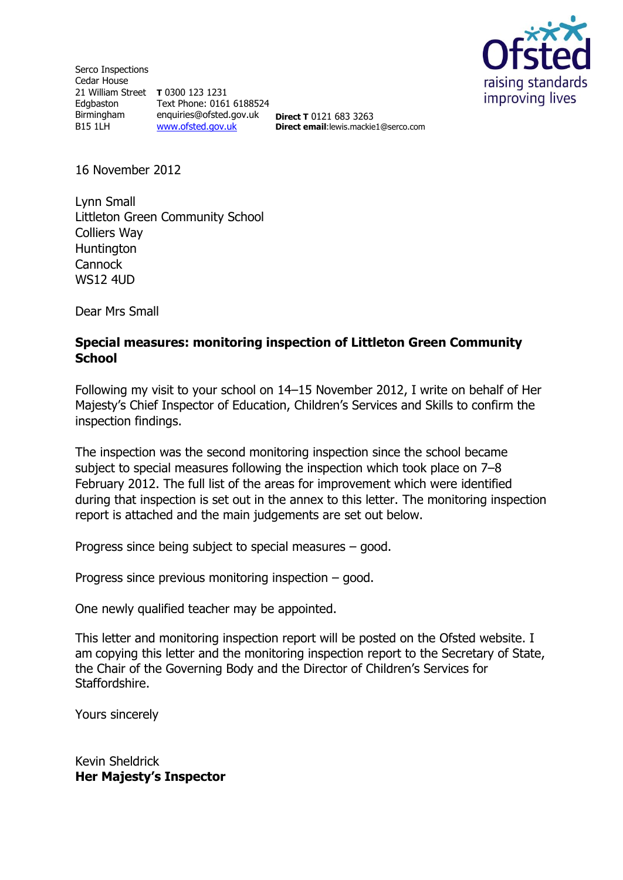Serco Inspections Cedar House 21 William Street **T** 0300 123 1231 Edgbaston Birmingham B15 1LH Text Phone: 0161 6188524 enquiries@ofsted.gov.uk [www.ofsted.gov.uk](http://www.ofsted.gov.uk/)

raising standards improving lives

**Direct T** 0121 683 3263 **Direct email**:lewis.mackie1@serco.com

16 November 2012

Lynn Small Littleton Green Community School Colliers Way **Huntington Cannock** WS12 4UD

Dear Mrs Small

#### **Special measures: monitoring inspection of Littleton Green Community School**

Following my visit to your school on 14–15 November 2012, I write on behalf of Her Majesty's Chief Inspector of Education, Children's Services and Skills to confirm the inspection findings.

The inspection was the second monitoring inspection since the school became subject to special measures following the inspection which took place on 7–8 February 2012. The full list of the areas for improvement which were identified during that inspection is set out in the annex to this letter. The monitoring inspection report is attached and the main judgements are set out below.

Progress since being subject to special measures – good.

Progress since previous monitoring inspection – good.

One newly qualified teacher may be appointed.

This letter and monitoring inspection report will be posted on the Ofsted website. I am copying this letter and the monitoring inspection report to the Secretary of State, the Chair of the Governing Body and the Director of Children's Services for Staffordshire.

Yours sincerely

Kevin Sheldrick **Her Majesty's Inspector**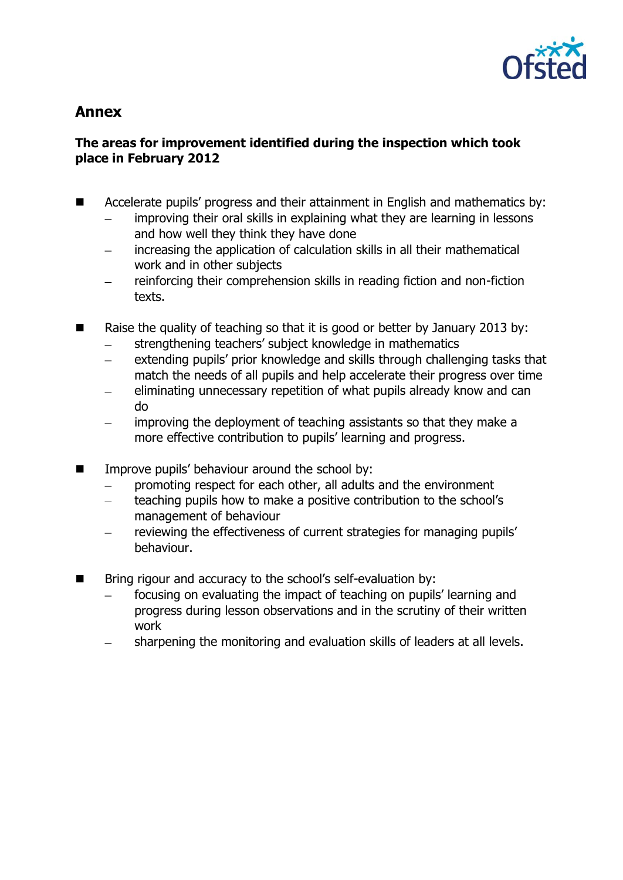

# **Annex**

## **The areas for improvement identified during the inspection which took place in February 2012**

- Accelerate pupils' progress and their attainment in English and mathematics by: improving their oral skills in explaining what they are learning in lessons and how well they think they have done
	- increasing the application of calculation skills in all their mathematical work and in other subjects
	- reinforcing their comprehension skills in reading fiction and non-fiction texts.
- $\blacksquare$  Raise the quality of teaching so that it is good or better by January 2013 by:
	- strengthening teachers' subject knowledge in mathematics
	- extending pupils' prior knowledge and skills through challenging tasks that  $\frac{1}{2}$ match the needs of all pupils and help accelerate their progress over time
	- eliminating unnecessary repetition of what pupils already know and can do
	- improving the deployment of teaching assistants so that they make a more effective contribution to pupils' learning and progress.
- **IMPROVE PUPILE** Improve pupils' behaviour around the school by:
	- promoting respect for each other, all adults and the environment
	- teaching pupils how to make a positive contribution to the school's  $\overline{\phantom{0}}$ management of behaviour
	- reviewing the effectiveness of current strategies for managing pupils' behaviour.
- Bring rigour and accuracy to the school's self-evaluation by:
	- focusing on evaluating the impact of teaching on pupils' learning and progress during lesson observations and in the scrutiny of their written work
	- sharpening the monitoring and evaluation skills of leaders at all levels.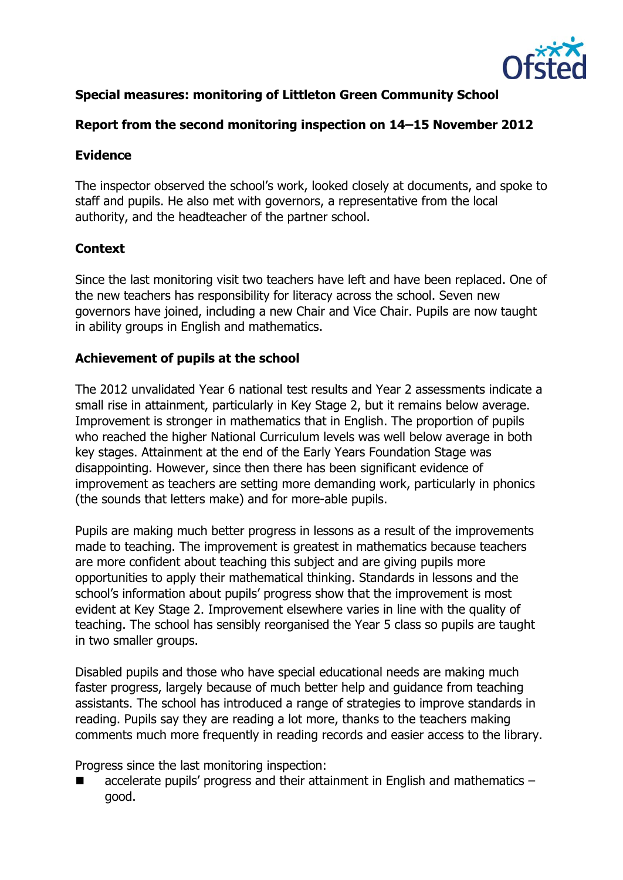

# **Special measures: monitoring of Littleton Green Community School**

## **Report from the second monitoring inspection on 14–15 November 2012**

### **Evidence**

The inspector observed the school's work, looked closely at documents, and spoke to staff and pupils. He also met with governors, a representative from the local authority, and the headteacher of the partner school.

# **Context**

Since the last monitoring visit two teachers have left and have been replaced. One of the new teachers has responsibility for literacy across the school. Seven new governors have joined, including a new Chair and Vice Chair. Pupils are now taught in ability groups in English and mathematics.

## **Achievement of pupils at the school**

The 2012 unvalidated Year 6 national test results and Year 2 assessments indicate a small rise in attainment, particularly in Key Stage 2, but it remains below average. Improvement is stronger in mathematics that in English. The proportion of pupils who reached the higher National Curriculum levels was well below average in both key stages. Attainment at the end of the Early Years Foundation Stage was disappointing. However, since then there has been significant evidence of improvement as teachers are setting more demanding work, particularly in phonics (the sounds that letters make) and for more-able pupils.

Pupils are making much better progress in lessons as a result of the improvements made to teaching. The improvement is greatest in mathematics because teachers are more confident about teaching this subject and are giving pupils more opportunities to apply their mathematical thinking. Standards in lessons and the school's information about pupils' progress show that the improvement is most evident at Key Stage 2. Improvement elsewhere varies in line with the quality of teaching. The school has sensibly reorganised the Year 5 class so pupils are taught in two smaller groups.

Disabled pupils and those who have special educational needs are making much faster progress, largely because of much better help and guidance from teaching assistants. The school has introduced a range of strategies to improve standards in reading. Pupils say they are reading a lot more, thanks to the teachers making comments much more frequently in reading records and easier access to the library.

Progress since the last monitoring inspection:

 accelerate pupils' progress and their attainment in English and mathematics – good.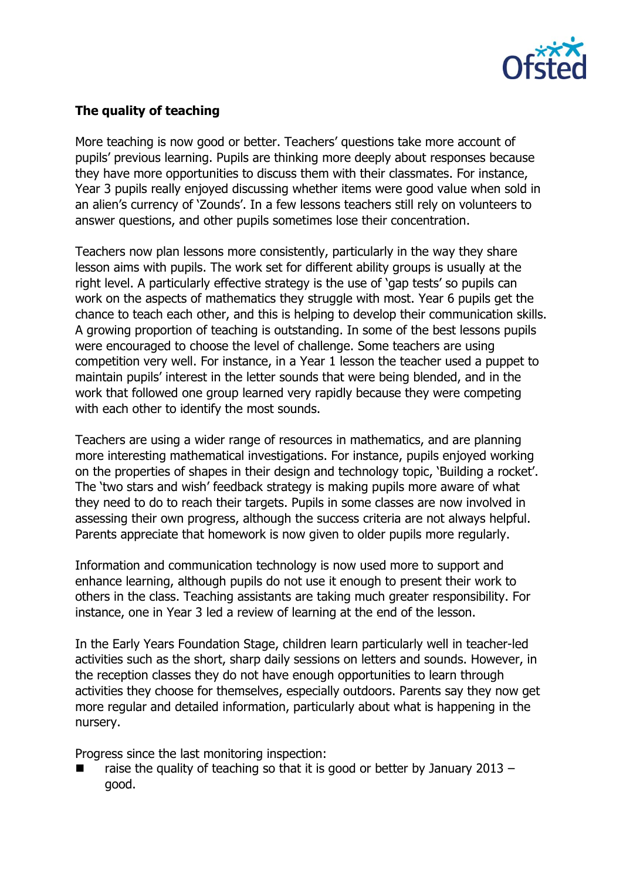

# **The quality of teaching**

More teaching is now good or better. Teachers' questions take more account of pupils' previous learning. Pupils are thinking more deeply about responses because they have more opportunities to discuss them with their classmates. For instance, Year 3 pupils really enjoyed discussing whether items were good value when sold in an alien's currency of 'Zounds'. In a few lessons teachers still rely on volunteers to answer questions, and other pupils sometimes lose their concentration.

Teachers now plan lessons more consistently, particularly in the way they share lesson aims with pupils. The work set for different ability groups is usually at the right level. A particularly effective strategy is the use of 'gap tests' so pupils can work on the aspects of mathematics they struggle with most. Year 6 pupils get the chance to teach each other, and this is helping to develop their communication skills. A growing proportion of teaching is outstanding. In some of the best lessons pupils were encouraged to choose the level of challenge. Some teachers are using competition very well. For instance, in a Year 1 lesson the teacher used a puppet to maintain pupils' interest in the letter sounds that were being blended, and in the work that followed one group learned very rapidly because they were competing with each other to identify the most sounds.

Teachers are using a wider range of resources in mathematics, and are planning more interesting mathematical investigations. For instance, pupils enjoyed working on the properties of shapes in their design and technology topic, 'Building a rocket'. The 'two stars and wish' feedback strategy is making pupils more aware of what they need to do to reach their targets. Pupils in some classes are now involved in assessing their own progress, although the success criteria are not always helpful. Parents appreciate that homework is now given to older pupils more regularly.

Information and communication technology is now used more to support and enhance learning, although pupils do not use it enough to present their work to others in the class. Teaching assistants are taking much greater responsibility. For instance, one in Year 3 led a review of learning at the end of the lesson.

In the Early Years Foundation Stage, children learn particularly well in teacher-led activities such as the short, sharp daily sessions on letters and sounds. However, in the reception classes they do not have enough opportunities to learn through activities they choose for themselves, especially outdoors. Parents say they now get more regular and detailed information, particularly about what is happening in the nursery.

Progress since the last monitoring inspection:

 raise the quality of teaching so that it is good or better by January 2013 – good.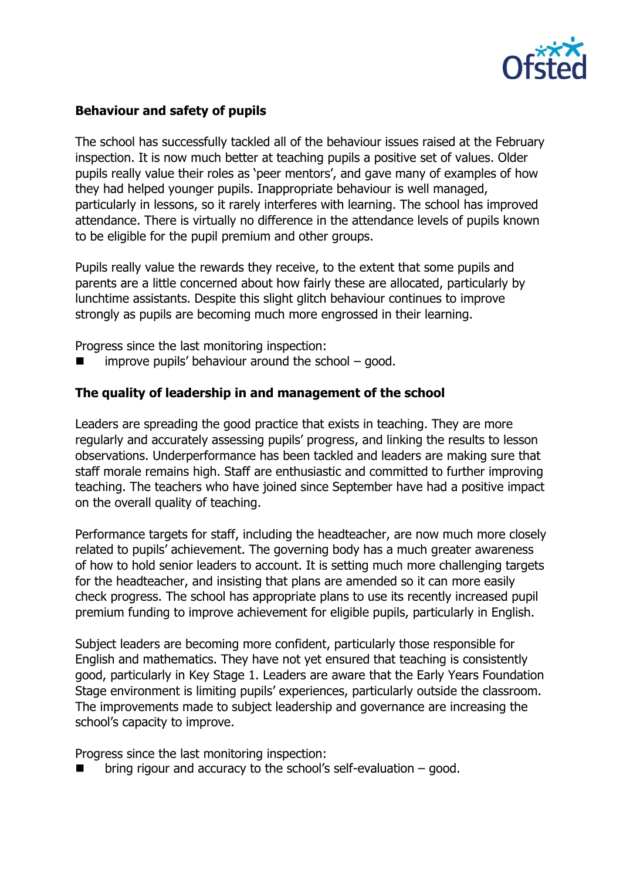

### **Behaviour and safety of pupils**

The school has successfully tackled all of the behaviour issues raised at the February inspection. It is now much better at teaching pupils a positive set of values. Older pupils really value their roles as 'peer mentors', and gave many of examples of how they had helped younger pupils. Inappropriate behaviour is well managed, particularly in lessons, so it rarely interferes with learning. The school has improved attendance. There is virtually no difference in the attendance levels of pupils known to be eligible for the pupil premium and other groups.

Pupils really value the rewards they receive, to the extent that some pupils and parents are a little concerned about how fairly these are allocated, particularly by lunchtime assistants. Despite this slight glitch behaviour continues to improve strongly as pupils are becoming much more engrossed in their learning.

Progress since the last monitoring inspection:

improve pupils' behaviour around the school – good.

#### **The quality of leadership in and management of the school**

Leaders are spreading the good practice that exists in teaching. They are more regularly and accurately assessing pupils' progress, and linking the results to lesson observations. Underperformance has been tackled and leaders are making sure that staff morale remains high. Staff are enthusiastic and committed to further improving teaching. The teachers who have joined since September have had a positive impact on the overall quality of teaching.

Performance targets for staff, including the headteacher, are now much more closely related to pupils' achievement. The governing body has a much greater awareness of how to hold senior leaders to account. It is setting much more challenging targets for the headteacher, and insisting that plans are amended so it can more easily check progress. The school has appropriate plans to use its recently increased pupil premium funding to improve achievement for eligible pupils, particularly in English.

Subject leaders are becoming more confident, particularly those responsible for English and mathematics. They have not yet ensured that teaching is consistently good, particularly in Key Stage 1. Leaders are aware that the Early Years Foundation Stage environment is limiting pupils' experiences, particularly outside the classroom. The improvements made to subject leadership and governance are increasing the school's capacity to improve.

Progress since the last monitoring inspection:

bring rigour and accuracy to the school's self-evaluation – good.